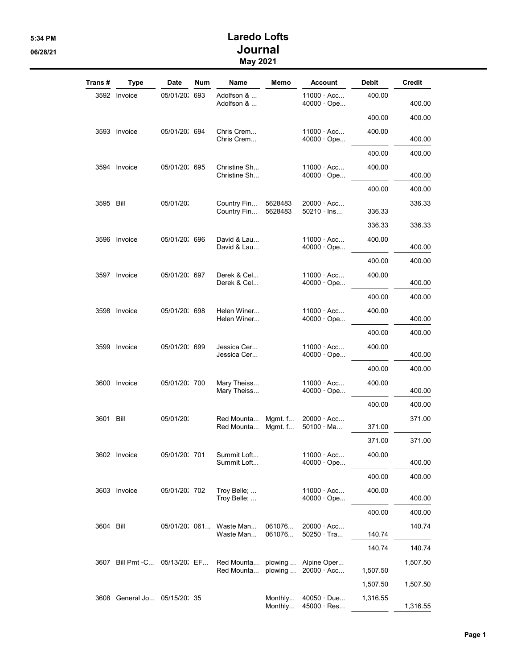## 5:34 PM Laredo Lofts 06/28/21 Journal May 2021

| Trans #   | Type                          | Date          | <b>Num</b> | Name                                 | Memo               | <b>Account</b>                         | <b>Debit</b> | Credit   |
|-----------|-------------------------------|---------------|------------|--------------------------------------|--------------------|----------------------------------------|--------------|----------|
|           | 3592 Invoice                  | 05/01/20: 693 |            | Adolfson &<br>Adolfson &             |                    | $11000 \cdot Acc$<br>$40000 \cdot$ Ope | 400.00       | 400.00   |
|           |                               |               |            |                                      |                    |                                        | 400.00       | 400.00   |
|           | 3593 Invoice                  | 05/01/20: 694 |            | Chris Crem<br>Chris Crem             |                    | 11000 · Acc<br>$40000 \cdot$ Ope       | 400.00       | 400.00   |
|           |                               |               |            |                                      |                    |                                        | 400.00       | 400.00   |
|           | 3594 Invoice                  | 05/01/20: 695 |            | Christine Sh<br>Christine Sh         |                    | $11000 \cdot Acc$<br>$40000 \cdot$ Ope | 400.00       | 400.00   |
|           |                               |               |            |                                      |                    |                                        | 400.00       | 400.00   |
| 3595 Bill |                               | 05/01/20:     |            | Country Fin<br>Country Fin           | 5628483<br>5628483 | $20000 \cdot Acc$<br>$50210 \cdot$ lns | 336.33       | 336.33   |
|           |                               |               |            |                                      |                    |                                        | 336.33       | 336.33   |
|           | 3596 Invoice                  | 05/01/20: 696 |            | David & Lau<br>David & Lau           |                    | $11000 \cdot Acc$<br>40000 · Ope       | 400.00       | 400.00   |
|           |                               |               |            |                                      |                    |                                        | 400.00       | 400.00   |
|           | 3597 Invoice                  | 05/01/20: 697 |            | Derek & Cel<br>Derek & Cel           |                    | $11000 \cdot Acc$<br>$40000 \cdot$ Ope | 400.00       | 400.00   |
|           |                               |               |            |                                      |                    |                                        | 400.00       | 400.00   |
|           | 3598 Invoice                  | 05/01/20: 698 |            | Helen Winer<br>Helen Winer           |                    | $11000 \cdot Acc$<br>$40000 \cdot$ Ope | 400.00       | 400.00   |
|           |                               |               |            |                                      |                    |                                        | 400.00       | 400.00   |
|           | 3599 Invoice                  | 05/01/20: 699 |            | Jessica Cer<br>Jessica Cer           |                    | $11000 \cdot Acc$<br>$40000 \cdot$ Ope | 400.00       | 400.00   |
|           |                               |               |            |                                      |                    |                                        | 400.00       | 400.00   |
|           | 3600 Invoice                  | 05/01/20: 700 |            | Mary Theiss<br>Mary Theiss           |                    | $11000 \cdot Acc$<br>$40000 \cdot$ Ope | 400.00       | 400.00   |
|           |                               |               |            |                                      |                    |                                        | 400.00       | 400.00   |
| 3601 Bill |                               | 05/01/20:     |            | Red Mounta<br>Red Mounta             | Mgmt. f<br>Mgmt. f | $20000 \cdot Acc$<br>$50100 \cdot Ma$  | 371.00       | 371.00   |
|           |                               |               |            |                                      |                    |                                        | 371.00       | 371.00   |
|           | 3602 Invoice                  | 05/01/20: 701 |            | Summit Loft<br>Summit Loft           |                    | 11000 · Acc<br>$40000 \cdot$ Ope       | 400.00       | 400.00   |
|           |                               |               |            |                                      |                    |                                        | 400.00       | 400.00   |
|           | 3603 Invoice                  | 05/01/20: 702 |            | Troy Belle;<br>Troy Belle;           |                    | $11000 \cdot Acc$<br>40000 · Ope       | 400.00       | 400.00   |
|           |                               |               |            |                                      |                    |                                        | 400.00       | 400.00   |
| 3604 Bill |                               |               |            | 05/01/20: 061 Waste Man<br>Waste Man | 061076<br>061076   | $20000 \cdot Acc$<br>$50250 \cdot$ Tra | 140.74       | 140.74   |
|           |                               |               |            |                                      |                    |                                        | 140.74       | 140.74   |
|           | 3607 Bill Pmt -C 05/13/20: EF |               |            | Red Mounta<br>Red Mounta             | plowing<br>plowing | Alpine Oper<br>$20000 \cdot Acc$       | 1,507.50     | 1,507.50 |
|           |                               |               |            |                                      |                    |                                        | 1,507.50     | 1,507.50 |
|           | 3608 General Jo 05/15/20: 35  |               |            |                                      | Monthly<br>Monthly | $40050 \cdot Due$<br>45000 · Res       | 1,316.55     | 1,316.55 |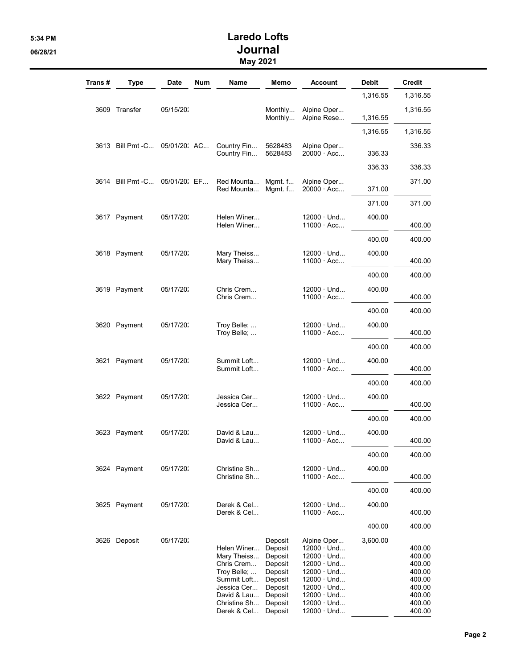## 5:34 PM Laredo Lofts 06/28/21 Journal May 2021

| Trans # | <b>Type</b>                    | <b>Date</b>  | <b>Num</b> | Name                                                                                                                                | Memo                                                                                                       | Account                                                                                                                                                                                                  | <b>Debit</b> | <b>Credit</b>                                                                          |
|---------|--------------------------------|--------------|------------|-------------------------------------------------------------------------------------------------------------------------------------|------------------------------------------------------------------------------------------------------------|----------------------------------------------------------------------------------------------------------------------------------------------------------------------------------------------------------|--------------|----------------------------------------------------------------------------------------|
|         |                                |              |            |                                                                                                                                     |                                                                                                            |                                                                                                                                                                                                          | 1,316.55     | 1,316.55                                                                               |
|         | 3609 Transfer                  | 05/15/20:    |            |                                                                                                                                     | Monthly<br>Monthly                                                                                         | Alpine Oper<br>Alpine Rese                                                                                                                                                                               | 1,316.55     | 1,316.55                                                                               |
|         |                                |              |            |                                                                                                                                     |                                                                                                            |                                                                                                                                                                                                          | 1,316.55     | 1,316.55                                                                               |
|         | 3613 Bill Pmt - C 05/01/20: AC |              |            | Country Fin<br>Country Fin                                                                                                          | 5628483<br>5628483                                                                                         | Alpine Oper<br>$20000 \cdot Acc$                                                                                                                                                                         | 336.33       | 336.33                                                                                 |
|         |                                |              |            |                                                                                                                                     |                                                                                                            |                                                                                                                                                                                                          | 336.33       | 336.33                                                                                 |
|         | 3614 Bill Pmt -C               | 05/01/20: EF |            | Red Mounta<br>Red Mounta                                                                                                            | Mgmt. $f$<br>Mgmt. $f$                                                                                     | Alpine Oper<br>$20000 \cdot Acc$                                                                                                                                                                         | 371.00       | 371.00                                                                                 |
|         |                                |              |            |                                                                                                                                     |                                                                                                            |                                                                                                                                                                                                          | 371.00       | 371.00                                                                                 |
|         | 3617 Payment                   | 05/17/20:    |            | Helen Winer<br>Helen Winer                                                                                                          |                                                                                                            | $12000 \cdot$ Und<br>$11000 \cdot Acc$                                                                                                                                                                   | 400.00       | 400.00                                                                                 |
|         |                                |              |            |                                                                                                                                     |                                                                                                            |                                                                                                                                                                                                          | 400.00       | 400.00                                                                                 |
|         | 3618 Payment                   | 05/17/20:    |            | Mary Theiss<br>Mary Theiss                                                                                                          |                                                                                                            | $12000 \cdot$ Und<br>$11000 \cdot Acc$                                                                                                                                                                   | 400.00       | 400.00                                                                                 |
|         |                                |              |            |                                                                                                                                     |                                                                                                            |                                                                                                                                                                                                          | 400.00       | 400.00                                                                                 |
|         | 3619 Payment                   | 05/17/20:    |            | Chris Crem<br>Chris Crem                                                                                                            |                                                                                                            | $12000 \cdot$ Und<br>$11000 \cdot Acc$                                                                                                                                                                   | 400.00       | 400.00                                                                                 |
|         |                                |              |            |                                                                                                                                     |                                                                                                            |                                                                                                                                                                                                          | 400.00       | 400.00                                                                                 |
|         | 3620 Payment                   | 05/17/20:    |            | Troy Belle;<br>Troy Belle;                                                                                                          |                                                                                                            | $12000 \cdot$ Und<br>$11000 \cdot Acc$                                                                                                                                                                   | 400.00       | 400.00                                                                                 |
|         |                                |              |            |                                                                                                                                     |                                                                                                            |                                                                                                                                                                                                          | 400.00       | 400.00                                                                                 |
|         | 3621 Payment                   | 05/17/20:    |            | Summit Loft<br>Summit Loft                                                                                                          |                                                                                                            | $12000 \cdot$ Und<br>$11000 \cdot Acc$                                                                                                                                                                   | 400.00       | 400.00                                                                                 |
|         |                                |              |            |                                                                                                                                     |                                                                                                            |                                                                                                                                                                                                          | 400.00       | 400.00                                                                                 |
|         | 3622 Payment                   | 05/17/20:    |            | Jessica Cer<br>Jessica Cer                                                                                                          |                                                                                                            | $12000 \cdot$ Und<br>$11000 \cdot Acc$                                                                                                                                                                   | 400.00       | 400.00                                                                                 |
|         |                                |              |            |                                                                                                                                     |                                                                                                            |                                                                                                                                                                                                          | 400.00       | 400.00                                                                                 |
|         | 3623 Payment                   | 05/17/20:    |            | David & Lau<br>David & Lau                                                                                                          |                                                                                                            | $12000 \cdot$ Und<br>$11000 \cdot Acc$                                                                                                                                                                   | 400.00       | 400.00                                                                                 |
|         |                                |              |            |                                                                                                                                     |                                                                                                            |                                                                                                                                                                                                          | 400.00       | 400.00                                                                                 |
|         | 3624 Payment                   | 05/17/20:    |            | Christine Sh<br>Christine Sh                                                                                                        |                                                                                                            | $12000 \cdot$ Und<br>$11000 \cdot Acc$                                                                                                                                                                   | 400.00       | 400.00                                                                                 |
|         |                                |              |            |                                                                                                                                     |                                                                                                            |                                                                                                                                                                                                          | 400.00       | 400.00                                                                                 |
|         | 3625 Payment                   | 05/17/20:    |            | Derek & Cel<br>Derek & Cel                                                                                                          |                                                                                                            | $12000 \cdot$ Und<br>$11000 \cdot Acc$                                                                                                                                                                   | 400.00       | 400.00                                                                                 |
|         |                                |              |            |                                                                                                                                     |                                                                                                            |                                                                                                                                                                                                          | 400.00       | 400.00                                                                                 |
|         | 3626 Deposit                   | 05/17/20:    |            | Helen Winer<br>Mary Theiss<br>Chris Crem<br>Troy Belle;<br>Summit Loft<br>Jessica Cer<br>David & Lau<br>Christine Sh<br>Derek & Cel | Deposit<br>Deposit<br>Deposit<br>Deposit<br>Deposit<br>Deposit<br>Deposit<br>Deposit<br>Deposit<br>Deposit | Alpine Oper<br>$12000 \cdot$ Und<br>$12000 \cdot$ Und<br>$12000 \cdot$ Und<br>$12000 \cdot$ Und<br>$12000 \cdot$ Und<br>$12000 \cdot$ Und<br>$12000 \cdot$ Und<br>$12000 \cdot$ Und<br>$12000 \cdot$ Und | 3,600.00     | 400.00<br>400.00<br>400.00<br>400.00<br>400.00<br>400.00<br>400.00<br>400.00<br>400.00 |